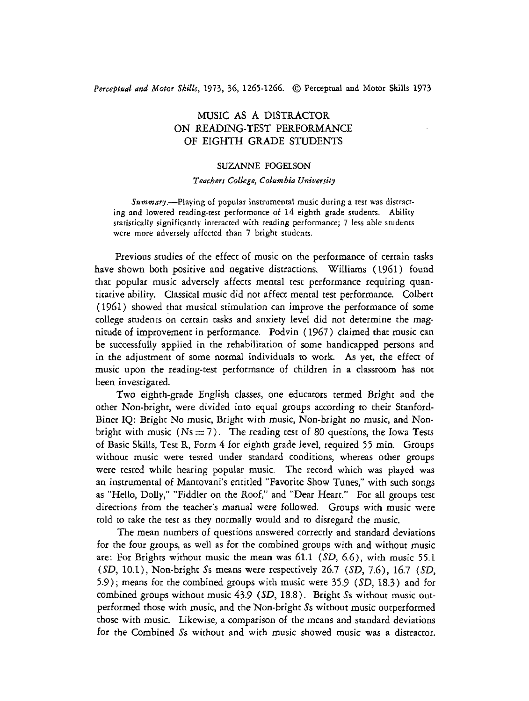## Perceptual and Motor *Skills,* 1973, 36, 1265-1266. @J Perceptual and Motor Skills <sup>1973</sup>

# MUSIC AS A DISTRACTOR ON READING-TEST PERFORMANCE OF EIGHTH GRADE STUDENTS

#### SUZANNE FOGELSON

#### Teachers College, Columbia University

 $Summary. - Playing of popular instrumental music during a test was distract$ ing and lowered reading-test performance of 14 eighth grade students. **Ability**  statisucally significantly interacted with reading performance; 7 less able students were more adversely affected than 7 bright students.

Previous studies of the effect of music on the performance of certain tasks have shown both positive and negative distractions. Williams ( *1961* ) found that popular music adversely affects mental test performance requiring quantitative ability. Classical music did not affect mental test performance. Colbert *(1961)* showed that musical stimulation can improve the performance of some college students on certain tasks and anxiety level did not determine the magnitude of improvement in performance. Podvin *(1967)* claimed that music can be successfully applied in the rehabilitation of some handicapped persons and in the adjustment of some normal individuals to work. As yet, the effect of music upon the reading-test performance of children in a classroom has not been investigated.

Two eighth-grade English classes, one educators termed Bright and the other Non-bright, were divided into equal groups according to their Stanford-Binet IQ: Bright No music, Bright with music, Non-bright no music, and Nonbright with music  $(Ns = 7)$ . The reading test of 80 questions, the Iowa Tests of Basic Skills, Test R, Form 4 for eighth grade level, required *55* min. Groups without music were tested under standard conditions, whereas other groups were tested while hearing popular music. The record which was played was an instrumental of Mantovani's entitled "Favorite Show Tunes," with such songs as "Hello, Dolly," "Fiddler on the Roof," and "Dear Heart." For all groups test directions from the teacher's manual were followed. Groups with music were told to take the test as they normally would and to disregard the music.

The mean numbers of questions answered correctly and standard deviations for the four groups, as well as for the combined groups with and without music are: For Brights without music the mean was *61.1 (SD, 6.6),* with music *55.1 (SD, 10.1),* Non-bright Ss means were respectively *26.7 (SD, 7.6), 16.7 (SD, 5.9);* means for the combined groups with music were *35.9* (SD, *18.3)* and for combined groups without music *43.9* (SD, 18.8). Bright *Ss* without music outperformed those with music, and the Non-bright Ss without music outperformed those with music. Likewise, a comparison of the means and standard deviations for the Combined Ss without and with music showed music was a distractor.